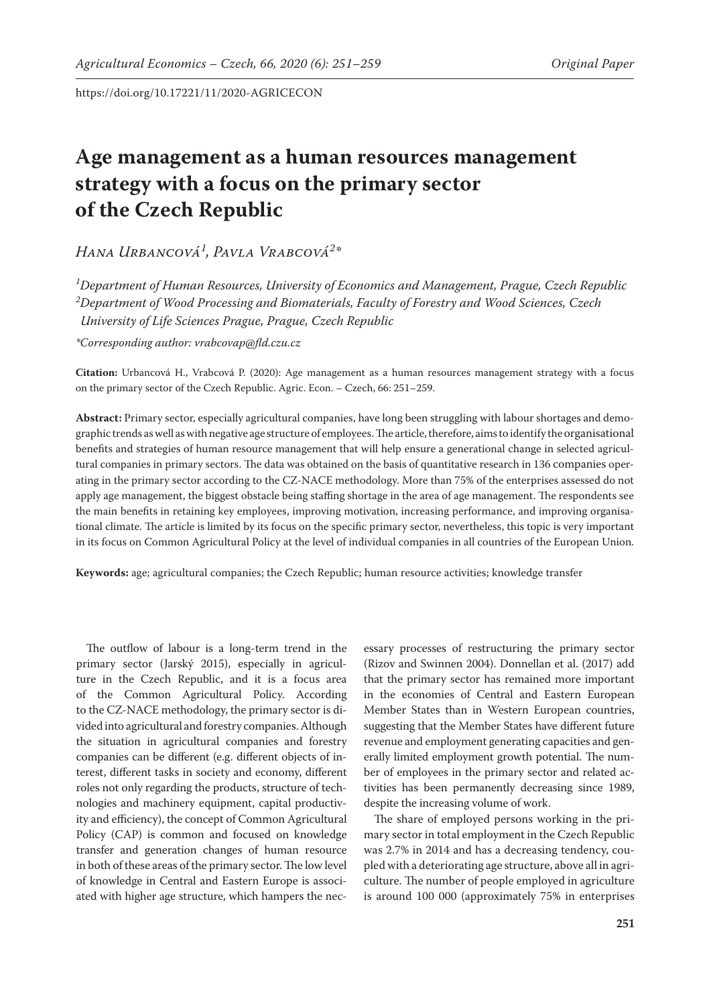# **Age management as a human resources management strategy with a focus on the primary sector of the Czech Republic**

*Hana Urbancová1 , Pavla Vrabcová2 \**

*1 Department of Human Resources, University of Economics and Management, Prague, Czech Republic 2 Department of Wood Processing and Biomaterials, Faculty of Forestry and Wood Sciences, Czech University of Life Sciences Prague, Prague, Czech Republic*

*\*Corresponding author: vrabcovap@fld.czu.cz*

**Citation:**  Urbancová H., Vrabcová P. (2020): Age management as a human resources management strategy with a focus on the primary sector of the Czech Republic. Agric. Econ. – Czech, 66: 251–259.

**Abstract:** Primary sector, especially agricultural companies, have long been struggling with labour shortages and demographic trends as well as with negative age structure of employees. The article, therefore, aims to identify the organisational benefits and strategies of human resource management that will help ensure a generational change in selected agricultural companies in primary sectors. The data was obtained on the basis of quantitative research in 136 companies operating in the primary sector according to the CZ-NACE methodology. More than 75% of the enterprises assessed do not apply age management, the biggest obstacle being staffing shortage in the area of age management. The respondents see the main benefits in retaining key employees, improving motivation, increasing performance, and improving organisational climate. The article is limited by its focus on the specific primary sector, nevertheless, this topic is very important in its focus on Common Agricultural Policy at the level of individual companies in all countries of the European Union.

**Keywords:** age; agricultural companies; the Czech Republic; human resource activities; knowledge transfer

The outflow of labour is a long-term trend in the primary sector (Jarský 2015), especially in agriculture in the Czech Republic, and it is a focus area of the Common Agricultural Policy. According to the CZ-NACE methodology, the primary sector is divided into agricultural and forestry companies. Although the situation in agricultural companies and forestry companies can be different (e.g. different objects of interest, different tasks in society and economy, different roles not only regarding the products, structure of technologies and machinery equipment, capital productivity and efficiency), the concept of Common Agricultural Policy (CAP) is common and focused on knowledge transfer and generation changes of human resource in both of these areas of the primary sector. The low level of knowledge in Central and Eastern Europe is associated with higher age structure, which hampers the nec-

essary processes of restructuring the primary sector (Rizov and Swinnen 2004). Donnellan et al. (2017) add that the primary sector has remained more important in the economies of Central and Eastern European Member States than in Western European countries, suggesting that the Member States have different future revenue and employment generating capacities and generally limited employment growth potential. The number of employees in the primary sector and related activities has been permanently decreasing since 1989, despite the increasing volume of work.

The share of employed persons working in the primary sector in total employment in the Czech Republic was 2.7% in 2014 and has a decreasing tendency, coupled with a deteriorating age structure, above all in agriculture. The number of people employed in agriculture is around 100 000 (approximately 75% in enterprises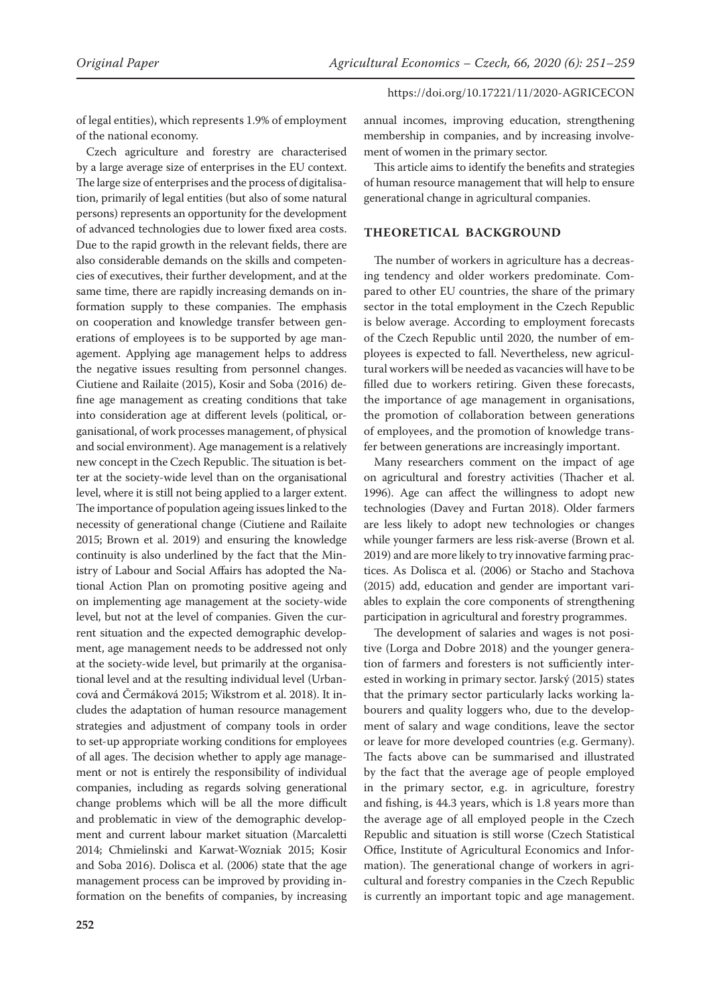of legal entities), which represents 1.9% of employment of the national economy.

Czech agriculture and forestry are characterised by a large average size of enterprises in the EU context. The large size of enterprises and the process of digitalisation, primarily of legal entities (but also of some natural persons) represents an opportunity for the development of advanced technologies due to lower fixed area costs. Due to the rapid growth in the relevant fields, there are also considerable demands on the skills and competencies of executives, their further development, and at the same time, there are rapidly increasing demands on information supply to these companies. The emphasis on cooperation and knowledge transfer between generations of employees is to be supported by age management. Applying age management helps to address the negative issues resulting from personnel changes. Ciutiene and Railaite (2015), Kosir and Soba (2016) define age management as creating conditions that take into consideration age at different levels (political, organisational, of work processes management, of physical and social environment). Age management is a relatively new concept in the Czech Republic. The situation is better at the society-wide level than on the organisational level, where it is still not being applied to a larger extent. The importance of population ageing issues linked to the necessity of generational change (Ciutiene and Railaite 2015; Brown et al. 2019) and ensuring the knowledge continuity is also underlined by the fact that the Ministry of Labour and Social Affairs has adopted the National Action Plan on promoting positive ageing and on implementing age management at the society-wide level, but not at the level of companies. Given the current situation and the expected demographic development, age management needs to be addressed not only at the society-wide level, but primarily at the organisational level and at the resulting individual level (Urbancová and Čermáková 2015; Wikstrom et al. 2018). It includes the adaptation of human resource management strategies and adjustment of company tools in order to set-up appropriate working conditions for employees of all ages. The decision whether to apply age management or not is entirely the responsibility of individual companies, including as regards solving generational change problems which will be all the more difficult and problematic in view of the demographic development and current labour market situation (Marcaletti 2014; Chmielinski and Karwat-Wozniak 2015; Kosir and Soba 2016). Dolisca et al. (2006) state that the age management process can be improved by providing information on the benefits of companies, by increasing

annual incomes, improving education, strengthening membership in companies, and by increasing involvement of women in the primary sector.

This article aims to identify the benefits and strategies of human resource management that will help to ensure generational change in agricultural companies.

## **THEORETICAL BACKGROUND**

The number of workers in agriculture has a decreasing tendency and older workers predominate. Compared to other EU countries, the share of the primary sector in the total employment in the Czech Republic is below average. According to employment forecasts of the Czech Republic until 2020, the number of employees is expected to fall. Nevertheless, new agricultural workers will be needed as vacancies will have to be filled due to workers retiring. Given these forecasts, the importance of age management in organisations, the promotion of collaboration between generations of employees, and the promotion of knowledge transfer between generations are increasingly important.

Many researchers comment on the impact of age on agricultural and forestry activities (Thacher et al. 1996). Age can affect the willingness to adopt new technologies (Davey and Furtan 2018). Older farmers are less likely to adopt new technologies or changes while younger farmers are less risk-averse (Brown et al. 2019) and are more likely to try innovative farming practices. As Dolisca et al. (2006) or Stacho and Stachova (2015) add, education and gender are important variables to explain the core components of strengthening participation in agricultural and forestry programmes.

The development of salaries and wages is not positive (Lorga and Dobre 2018) and the younger generation of farmers and foresters is not sufficiently interested in working in primary sector. Jarský (2015) states that the primary sector particularly lacks working labourers and quality loggers who, due to the development of salary and wage conditions, leave the sector or leave for more developed countries (e.g. Germany). The facts above can be summarised and illustrated by the fact that the average age of people employed in the primary sector, e.g. in agriculture, forestry and fishing, is 44.3 years, which is 1.8 years more than the average age of all employed people in the Czech Republic and situation is still worse (Czech Statistical Office, Institute of Agricultural Economics and Information). The generational change of workers in agricultural and forestry companies in the Czech Republic is currently an important topic and age management.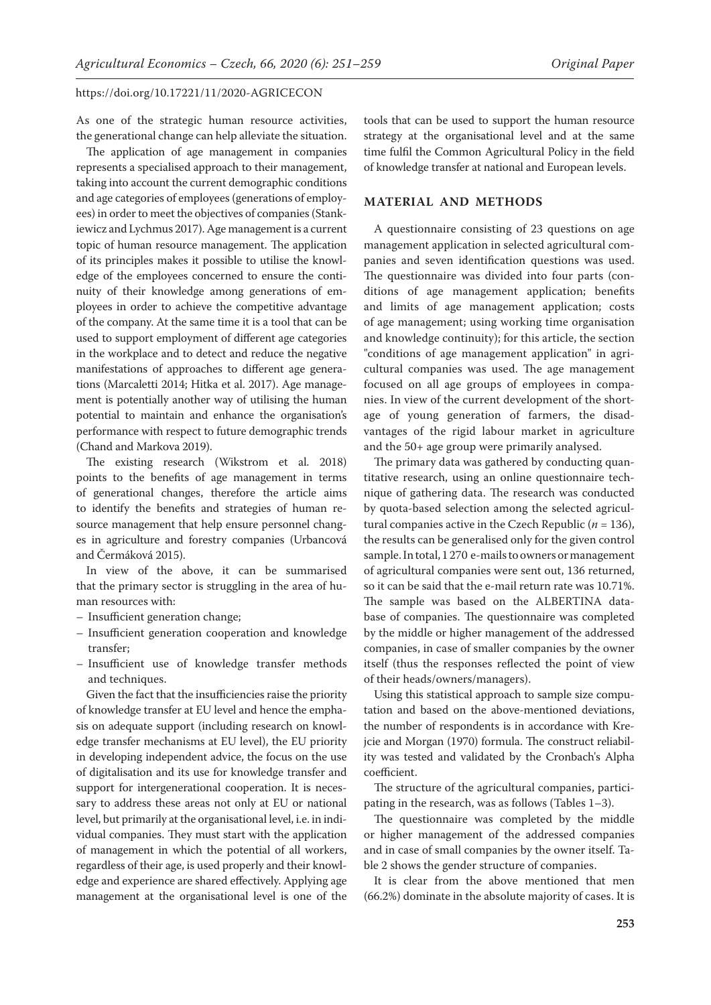As one of the strategic human resource activities, the generational change can help alleviate the situation.

The application of age management in companies represents a specialised approach to their management, taking into account the current demographic conditions and age categories of employees (generations of employees) in order to meet the objectives of companies (Stankiewicz and Lychmus 2017). Age management is a current topic of human resource management. The application of its principles makes it possible to utilise the knowledge of the employees concerned to ensure the continuity of their knowledge among generations of employees in order to achieve the competitive advantage of the company. At the same time it is a tool that can be used to support employment of different age categories in the workplace and to detect and reduce the negative manifestations of approaches to different age generations (Marcaletti 2014; Hitka et al. 2017). Age management is potentially another way of utilising the human potential to maintain and enhance the organisation's performance with respect to future demographic trends (Chand and Markova 2019).

The existing research (Wikstrom et al. 2018) points to the benefits of age management in terms of generational changes, therefore the article aims to identify the benefits and strategies of human resource management that help ensure personnel changes in agriculture and forestry companies (Urbancová and Čermáková 2015).

In view of the above, it can be summarised that the primary sector is struggling in the area of human resources with:

- Insufficient generation change;
- Insufficient generation cooperation and knowledge transfer;
- Insufficient use of knowledge transfer methods and techniques.

Given the fact that the insufficiencies raise the priority of knowledge transfer at EU level and hence the emphasis on adequate support (including research on knowledge transfer mechanisms at EU level), the EU priority in developing independent advice, the focus on the use of digitalisation and its use for knowledge transfer and support for intergenerational cooperation. It is necessary to address these areas not only at EU or national level, but primarily at the organisational level, i.e. in individual companies. They must start with the application of management in which the potential of all workers, regardless of their age, is used properly and their knowledge and experience are shared effectively. Applying age management at the organisational level is one of the tools that can be used to support the human resource strategy at the organisational level and at the same time fulfil the Common Agricultural Policy in the field of knowledge transfer at national and European levels.

## **MATERIAL AND METHODS**

A questionnaire consisting of 23 questions on age management application in selected agricultural companies and seven identification questions was used. The questionnaire was divided into four parts (conditions of age management application; benefits and limits of age management application; costs of age management; using working time organisation and knowledge continuity); for this article, the section "conditions of age management application" in agricultural companies was used. The age management focused on all age groups of employees in companies. In view of the current development of the shortage of young generation of farmers, the disadvantages of the rigid labour market in agriculture and the 50+ age group were primarily analysed.

The primary data was gathered by conducting quantitative research, using an online questionnaire technique of gathering data. The research was conducted by quota-based selection among the selected agricultural companies active in the Czech Republic  $(n = 136)$ , the results can be generalised only for the given control sample. In total, 1 270 e-mails to owners or management of agricultural companies were sent out, 136 returned, so it can be said that the e-mail return rate was 10.71%. The sample was based on the ALBERTINA database of companies. The questionnaire was completed by the middle or higher management of the addressed companies, in case of smaller companies by the owner itself (thus the responses reflected the point of view of their heads/owners/managers).

Using this statistical approach to sample size computation and based on the above-mentioned deviations, the number of respondents is in accordance with Krejcie and Morgan (1970) formula. The construct reliability was tested and validated by the Cronbach's Alpha coefficient.

The structure of the agricultural companies, participating in the research, was as follows (Tables 1–3).

The questionnaire was completed by the middle or higher management of the addressed companies and in case of small companies by the owner itself. Table 2 shows the gender structure of companies.

It is clear from the above mentioned that men (66.2%) dominate in the absolute majority of cases. It is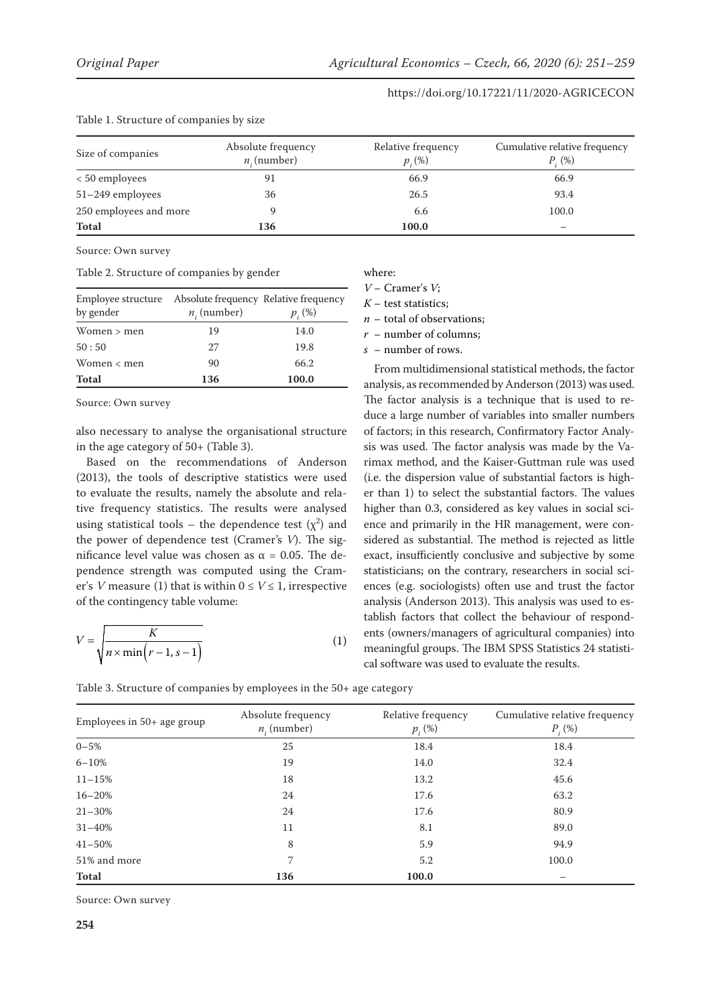| rable 1. Structure of companies by size |                                      |                                 |                                              |  |  |
|-----------------------------------------|--------------------------------------|---------------------------------|----------------------------------------------|--|--|
| Size of companies                       | Absolute frequency<br>$n_i$ (number) | Relative frequency<br>$p_i(\%)$ | Cumulative relative frequency<br>$P_{i}(\%)$ |  |  |
| < 50 employees                          | 91                                   | 66.9                            | 66.9                                         |  |  |
| 51-249 employees                        | 36                                   | 26.5                            | 93.4                                         |  |  |
| 250 employees and more                  |                                      | 6.6                             | 100.0                                        |  |  |
| <b>Total</b>                            | 136                                  | 100.0                           |                                              |  |  |

#### Table 1. Structure of companies by size

Source: Own survey

Table 2. Structure of companies by gender

| Employee structure Absolute frequency Relative frequency<br>by gender | $n_i$ (number) | $p_{i}(\%)$ |
|-----------------------------------------------------------------------|----------------|-------------|
| Women $>$ men                                                         | 19             | 14.0        |
| 50:50                                                                 | 27             | 19.8        |
| Women $\lt$ men                                                       | 90             | 66.2        |
| <b>Total</b>                                                          | 136            | 100.0       |

Source: Own survey

also necessary to analyse the organisational structure in the age category of 50+ (Table 3).

Based on the recommendations of Anderson (2013), the tools of descriptive statistics were used to evaluate the results, namely the absolute and relative frequency statistics. The results were analysed using statistical tools – the dependence test  $(\chi^2)$  and the power of dependence test (Cramer's *V*). The significance level value was chosen as  $\alpha$  = 0.05. The dependence strength was computed using the Cramer's *V* measure (1) that is within  $0 \le V \le 1$ , irrespective of the contingency table volume:

$$
V = \sqrt{\frac{K}{n \times \min(r-1, s-1)}}\tag{1}
$$

where:

*V* – Cramer's *V*;

*K –* test statistics;

*n* – total of observations;

*r* – number of columns;

*s* – number of rows.

From multidimensional statistical methods, the factor analysis, as recommended by Anderson (2013) was used. The factor analysis is a technique that is used to reduce a large number of variables into smaller numbers of factors; in this research, Confirmatory Factor Analysis was used. The factor analysis was made by the Varimax method, and the Kaiser-Guttman rule was used (i.e. the dispersion value of substantial factors is higher than 1) to select the substantial factors. The values higher than 0.3, considered as key values in social science and primarily in the HR management, were considered as substantial. The method is rejected as little exact, insufficiently conclusive and subjective by some statisticians; on the contrary, researchers in social sciences (e.g. sociologists) often use and trust the factor analysis (Anderson 2013). This analysis was used to establish factors that collect the behaviour of respondents (owners/managers of agricultural companies) into meaningful groups. The IBM SPSS Statistics 24 statistical software was used to evaluate the results.

| Table 3. Structure of companies by employees in the 50+ age category |  |  |
|----------------------------------------------------------------------|--|--|
|----------------------------------------------------------------------|--|--|

| Employees in $50+$ age group | Absolute frequency<br>$n_{i}$ (number) | Relative frequency<br>$p_{i}(\%)$ | Cumulative relative frequency<br>$P_{i}(\%)$ |
|------------------------------|----------------------------------------|-----------------------------------|----------------------------------------------|
| $0 - 5%$                     | 25                                     | 18.4                              | 18.4                                         |
| $6 - 10%$                    | 19                                     | 14.0                              | 32.4                                         |
| $11 - 15%$                   | 18                                     | 13.2                              | 45.6                                         |
| $16 - 20%$                   | 24                                     | 17.6                              | 63.2                                         |
| $21 - 30%$                   | 24                                     | 17.6                              | 80.9                                         |
| $31 - 40%$                   | 11                                     | 8.1                               | 89.0                                         |
| $41 - 50%$                   | 8                                      | 5.9                               | 94.9                                         |
| 51% and more                 | 7                                      | 5.2                               | 100.0                                        |
| <b>Total</b>                 | 136                                    | 100.0                             |                                              |

Source: Own survey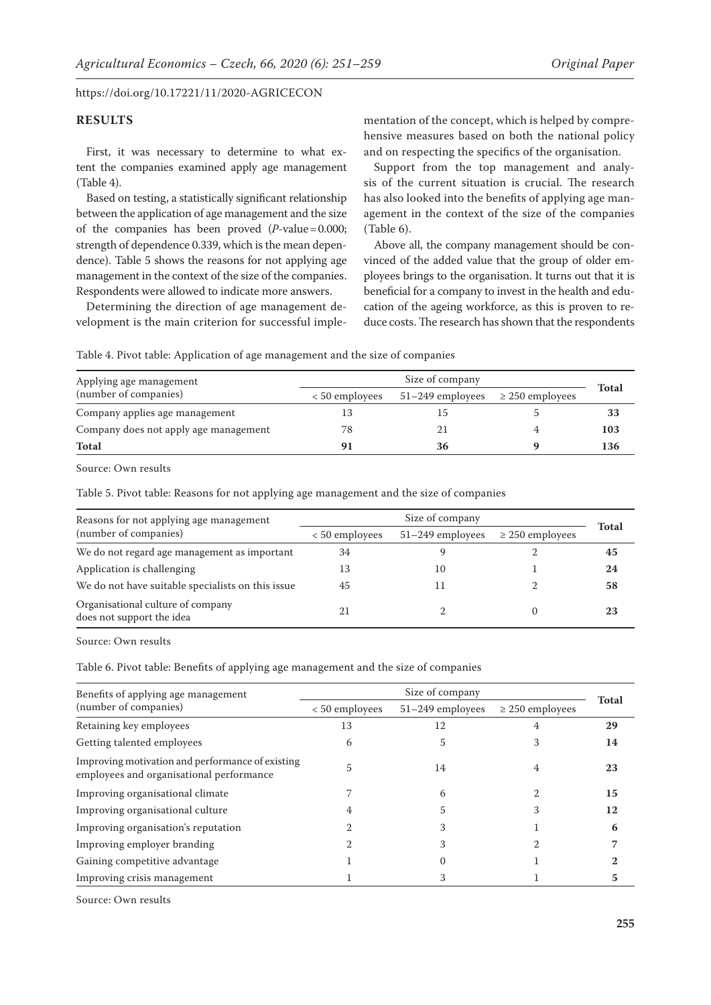## **RESULTS**

First, it was necessary to determine to what extent the companies examined apply age management (Table 4).

Based on testing, a statistically significant relationship between the application of age management and the size of the companies has been proved  $(P-value = 0.000;$ strength of dependence 0.339, which is the mean dependence). Table 5 shows the reasons for not applying age management in the context of the size of the companies. Respondents were allowed to indicate more answers.

Determining the direction of age management development is the main criterion for successful imple-

mentation of the concept, which is helped by comprehensive measures based on both the national policy and on respecting the specifics of the organisation.

Support from the top management and analysis of the current situation is crucial. The research has also looked into the benefits of applying age management in the context of the size of the companies (Table 6).

Above all, the company management should be convinced of the added value that the group of older employees brings to the organisation. It turns out that it is beneficial for a company to invest in the health and education of the ageing workforce, as this is proven to reduce costs. The research has shown that the respondents

Table 4. Pivot table: Application of age management and the size of companies

| Applying age management               | Size of company |                    |                      |              |
|---------------------------------------|-----------------|--------------------|----------------------|--------------|
| (number of companies)                 | < 50 employees  | $51-249$ employees | $\geq$ 250 employees | <b>Total</b> |
| Company applies age management        | 13              |                    |                      | 33           |
| Company does not apply age management | 78              |                    |                      | 103          |
| <b>Total</b>                          | 91              | 36                 |                      | 136          |

Source: Own results

Table 5. Pivot table: Reasons for not applying age management and the size of companies

| Reasons for not applying age management                        | Size of company  |                    |                      |              |
|----------------------------------------------------------------|------------------|--------------------|----------------------|--------------|
| (number of companies)                                          | $< 50$ employees | $51-249$ employees | $\geq$ 250 employees | <b>Total</b> |
| We do not regard age management as important                   | 34               |                    |                      | 45           |
| Application is challenging                                     | 13               | 10                 |                      | 24           |
| We do not have suitable specialists on this issue              | 45               |                    |                      | 58           |
| Organisational culture of company<br>does not support the idea |                  |                    |                      | 23           |

Source: Own results

Table 6. Pivot table: Benefits of applying age management and the size of companies

| Benefits of applying age management                                                          | Size of company  |                  |                      |              |  |
|----------------------------------------------------------------------------------------------|------------------|------------------|----------------------|--------------|--|
| (number of companies)                                                                        | $< 50$ employees | 51-249 employees | $\geq$ 250 employees | <b>Total</b> |  |
| Retaining key employees                                                                      | 13               | 12               |                      | 29           |  |
| Getting talented employees                                                                   | 6                | 5                |                      | 14           |  |
| Improving motivation and performance of existing<br>employees and organisational performance | 5                | 14               | 4                    | 23           |  |
| Improving organisational climate                                                             |                  | 6                |                      | 15           |  |
| Improving organisational culture                                                             | 4                |                  |                      | 12           |  |
| Improving organisation's reputation                                                          |                  |                  |                      |              |  |
| Improving employer branding                                                                  |                  |                  |                      |              |  |
| Gaining competitive advantage                                                                |                  |                  |                      |              |  |
| Improving crisis management                                                                  |                  |                  |                      |              |  |

Source: Own results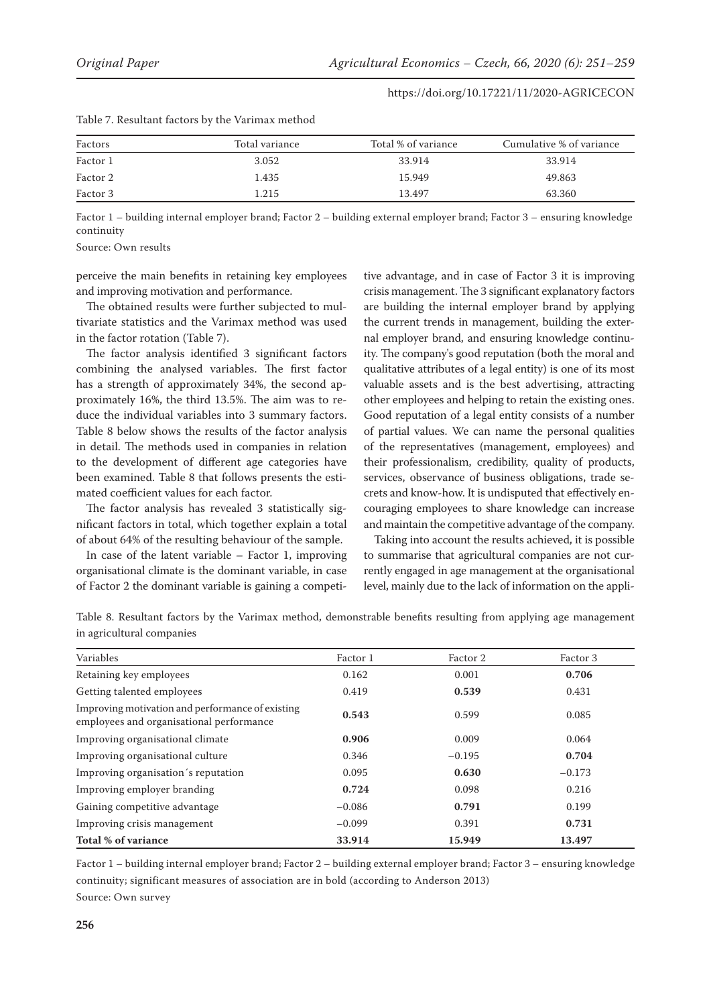| Factors  | Total variance | Total % of variance | Cumulative % of variance |  |  |
|----------|----------------|---------------------|--------------------------|--|--|
| Factor 1 | 3.052          | 33.914              | 33.914                   |  |  |
| Factor 2 | 1.435          | 15.949              | 49.863                   |  |  |
| Factor 3 | 1.215          | 13.497              | 63.360                   |  |  |

Factor 1 – building internal employer brand; Factor 2 – building external employer brand; Factor 3 – ensuring knowledge continuity

Source: Own results

perceive the main benefits in retaining key employees and improving motivation and performance.

Table 7. Resultant factors by the Varimax method

The obtained results were further subjected to multivariate statistics and the Varimax method was used in the factor rotation (Table 7).

The factor analysis identified 3 significant factors combining the analysed variables. The first factor has a strength of approximately 34%, the second approximately 16%, the third 13.5%. The aim was to reduce the individual variables into 3 summary factors. Table 8 below shows the results of the factor analysis in detail. The methods used in companies in relation to the development of different age categories have been examined. Table 8 that follows presents the estimated coefficient values for each factor.

The factor analysis has revealed 3 statistically significant factors in total, which together explain a total of about 64% of the resulting behaviour of the sample.

In case of the latent variable  $-$  Factor 1, improving organisational climate is the dominant variable, in case of Factor 2 the dominant variable is gaining a competi-

tive advantage, and in case of Factor 3 it is improving crisis management. The 3 significant explanatory factors are building the internal employer brand by applying the current trends in management, building the external employer brand, and ensuring knowledge continuity. The company's good reputation (both the moral and qualitative attributes of a legal entity) is one of its most valuable assets and is the best advertising, attracting other employees and helping to retain the existing ones. Good reputation of a legal entity consists of a number of partial values. We can name the personal qualities of the representatives (management, employees) and their professionalism, credibility, quality of products, services, observance of business obligations, trade secrets and know-how. It is undisputed that effectively encouraging employees to share knowledge can increase and maintain the competitive advantage of the company.

Taking into account the results achieved, it is possible to summarise that agricultural companies are not currently engaged in age management at the organisational level, mainly due to the lack of information on the appli-

Table 8. Resultant factors by the Varimax method, demonstrable benefits resulting from applying age management in agricultural companies

| Variables                                                                                    | Factor 1 | Factor 2 | Factor 3 |
|----------------------------------------------------------------------------------------------|----------|----------|----------|
| Retaining key employees                                                                      | 0.162    | 0.001    | 0.706    |
| Getting talented employees                                                                   | 0.419    | 0.539    | 0.431    |
| Improving motivation and performance of existing<br>employees and organisational performance | 0.543    | 0.599    | 0.085    |
| Improving organisational climate                                                             | 0.906    | 0.009    | 0.064    |
| Improving organisational culture                                                             | 0.346    | $-0.195$ | 0.704    |
| Improving organisation's reputation                                                          | 0.095    | 0.630    | $-0.173$ |
| Improving employer branding                                                                  | 0.724    | 0.098    | 0.216    |
| Gaining competitive advantage                                                                | $-0.086$ | 0.791    | 0.199    |
| Improving crisis management                                                                  | $-0.099$ | 0.391    | 0.731    |
| Total % of variance                                                                          | 33.914   | 15.949   | 13.497   |

Factor 1 – building internal employer brand; Factor 2 – building external employer brand; Factor 3 – ensuring knowledge continuity; significant measures of association are in bold (according to Anderson 2013) Source: Own survey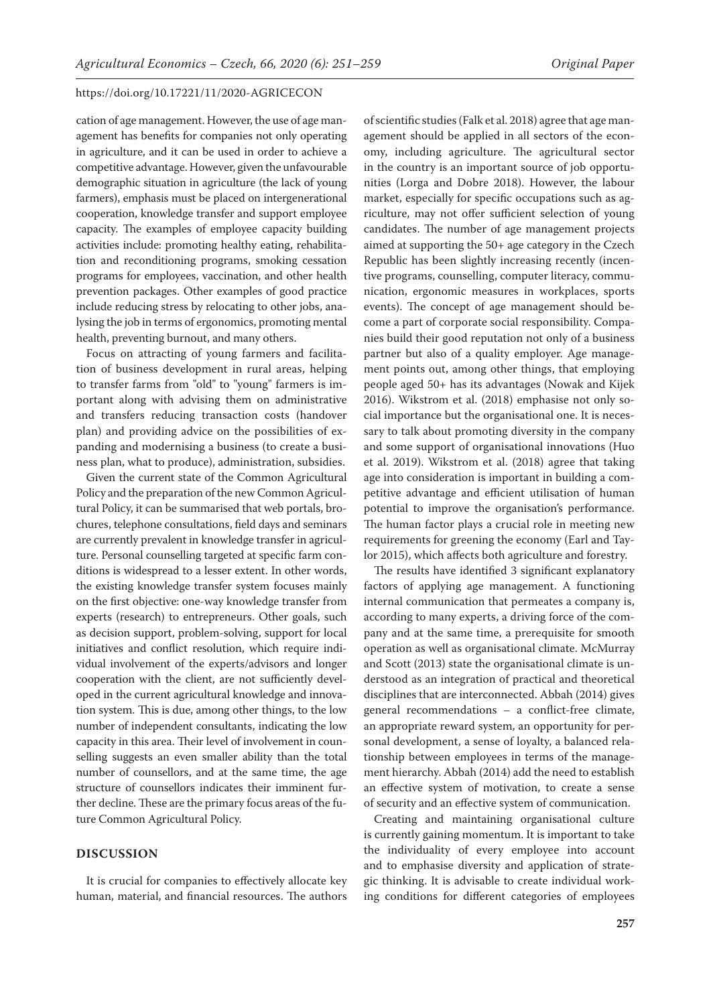cation of age management. However, the use of age management has benefits for companies not only operating in agriculture, and it can be used in order to achieve a competitive advantage. However, given the unfavourable demographic situation in agriculture (the lack of young farmers), emphasis must be placed on intergenerational cooperation, knowledge transfer and support employee capacity. The examples of employee capacity building activities include: promoting healthy eating, rehabilitation and reconditioning programs, smoking cessation programs for employees, vaccination, and other health prevention packages. Other examples of good practice include reducing stress by relocating to other jobs, analysing the job in terms of ergonomics, promoting mental health, preventing burnout, and many others.

Focus on attracting of young farmers and facilitation of business development in rural areas, helping to transfer farms from "old" to "young" farmers is important along with advising them on administrative and transfers reducing transaction costs (handover plan) and providing advice on the possibilities of expanding and modernising a business (to create a business plan, what to produce), administration, subsidies.

Given the current state of the Common Agricultural Policy and the preparation of the new Common Agricultural Policy, it can be summarised that web portals, brochures, telephone consultations, field days and seminars are currently prevalent in knowledge transfer in agriculture. Personal counselling targeted at specific farm conditions is widespread to a lesser extent. In other words, the existing knowledge transfer system focuses mainly on the first objective: one-way knowledge transfer from experts (research) to entrepreneurs. Other goals, such as decision support, problem-solving, support for local initiatives and conflict resolution, which require individual involvement of the experts/advisors and longer cooperation with the client, are not sufficiently developed in the current agricultural knowledge and innovation system. This is due, among other things, to the low number of independent consultants, indicating the low capacity in this area. Their level of involvement in counselling suggests an even smaller ability than the total number of counsellors, and at the same time, the age structure of counsellors indicates their imminent further decline. These are the primary focus areas of the future Common Agricultural Policy.

## **DISCUSSION**

It is crucial for companies to effectively allocate key human, material, and financial resources. The authors

of scientific studies (Falk et al. 2018) agree that age management should be applied in all sectors of the economy, including agriculture. The agricultural sector in the country is an important source of job opportunities (Lorga and Dobre 2018). However, the labour market, especially for specific occupations such as agriculture, may not offer sufficient selection of young candidates. The number of age management projects aimed at supporting the 50+ age category in the Czech Republic has been slightly increasing recently (incentive programs, counselling, computer literacy, communication, ergonomic measures in workplaces, sports events). The concept of age management should become a part of corporate social responsibility. Companies build their good reputation not only of a business partner but also of a quality employer. Age management points out, among other things, that employing people aged 50+ has its advantages (Nowak and Kijek 2016). Wikstrom et al. (2018) emphasise not only social importance but the organisational one. It is necessary to talk about promoting diversity in the company and some support of organisational innovations (Huo et al. 2019). Wikstrom et al. (2018) agree that taking age into consideration is important in building a competitive advantage and efficient utilisation of human potential to improve the organisation's performance. The human factor plays a crucial role in meeting new requirements for greening the economy (Earl and Taylor 2015), which affects both agriculture and forestry.

The results have identified 3 significant explanatory factors of applying age management. A functioning internal communication that permeates a company is, according to many experts, a driving force of the company and at the same time, a prerequisite for smooth operation as well as organisational climate. McMurray and Scott (2013) state the organisational climate is understood as an integration of practical and theoretical disciplines that are interconnected. Abbah (2014) gives general recommendations – a conflict-free climate, an appropriate reward system, an opportunity for personal development, a sense of loyalty, a balanced relationship between employees in terms of the management hierarchy. Abbah (2014) add the need to establish an effective system of motivation, to create a sense of security and an effective system of communication.

Creating and maintaining organisational culture is currently gaining momentum. It is important to take the individuality of every employee into account and to emphasise diversity and application of strategic thinking. It is advisable to create individual working conditions for different categories of employees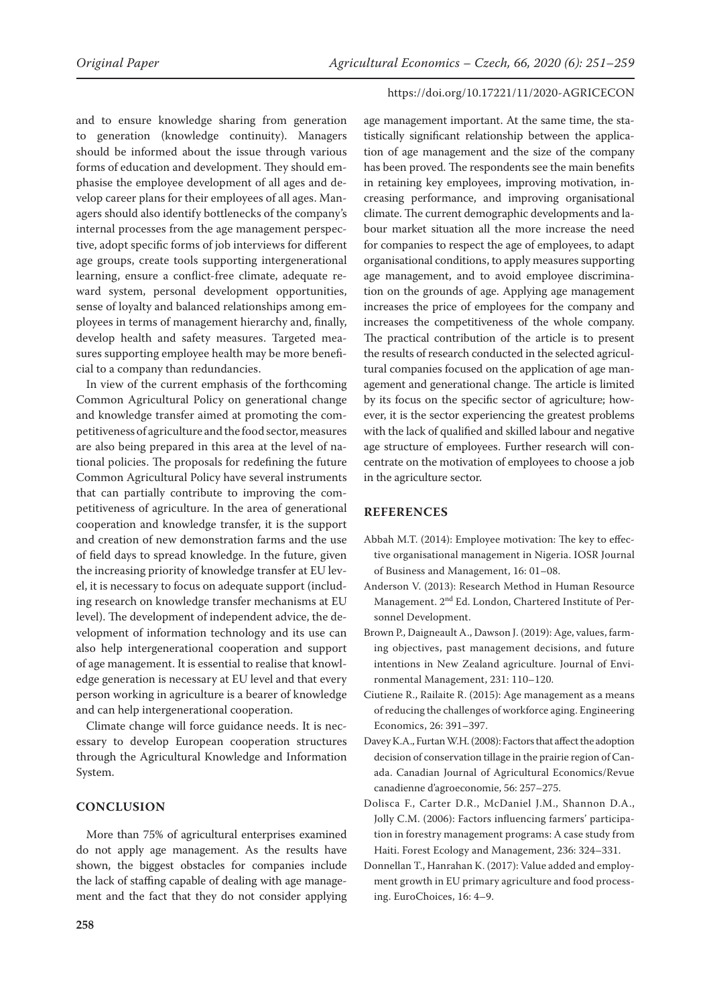and to ensure knowledge sharing from generation to generation (knowledge continuity). Managers should be informed about the issue through various forms of education and development. They should emphasise the employee development of all ages and develop career plans for their employees of all ages. Managers should also identify bottlenecks of the company's internal processes from the age management perspective, adopt specific forms of job interviews for different age groups, create tools supporting intergenerational learning, ensure a conflict-free climate, adequate reward system, personal development opportunities, sense of loyalty and balanced relationships among employees in terms of management hierarchy and, finally, develop health and safety measures. Targeted measures supporting employee health may be more beneficial to a company than redundancies.

In view of the current emphasis of the forthcoming Common Agricultural Policy on generational change and knowledge transfer aimed at promoting the competitiveness of agriculture and the food sector, measures are also being prepared in this area at the level of national policies. The proposals for redefining the future Common Agricultural Policy have several instruments that can partially contribute to improving the competitiveness of agriculture. In the area of generational cooperation and knowledge transfer, it is the support and creation of new demonstration farms and the use of field days to spread knowledge. In the future, given the increasing priority of knowledge transfer at EU level, it is necessary to focus on adequate support (including research on knowledge transfer mechanisms at EU level). The development of independent advice, the development of information technology and its use can also help intergenerational cooperation and support of age management. It is essential to realise that knowledge generation is necessary at EU level and that every person working in agriculture is a bearer of knowledge and can help intergenerational cooperation.

Climate change will force guidance needs. It is necessary to develop European cooperation structures through the Agricultural Knowledge and Information System.

# **CONCLUSION**

More than 75% of agricultural enterprises examined do not apply age management. As the results have shown, the biggest obstacles for companies include the lack of staffing capable of dealing with age management and the fact that they do not consider applying

age management important. At the same time, the statistically significant relationship between the application of age management and the size of the company has been proved. The respondents see the main benefits in retaining key employees, improving motivation, increasing performance, and improving organisational climate. The current demographic developments and labour market situation all the more increase the need for companies to respect the age of employees, to adapt organisational conditions, to apply measures supporting age management, and to avoid employee discrimination on the grounds of age. Applying age management increases the price of employees for the company and increases the competitiveness of the whole company. The practical contribution of the article is to present the results of research conducted in the selected agricultural companies focused on the application of age management and generational change. The article is limited by its focus on the specific sector of agriculture; however, it is the sector experiencing the greatest problems with the lack of qualified and skilled labour and negative age structure of employees. Further research will concentrate on the motivation of employees to choose a job in the agriculture sector.

## **REFERENCES**

- Abbah M.T. (2014): Employee motivation: The key to effective organisational management in Nigeria. IOSR Journal of Business and Management, 16: 01–08.
- Anderson V. (2013): Research Method in Human Resource Management. 2<sup>nd</sup> Ed. London, Chartered Institute of Personnel Development.
- Brown P., Daigneault A., Dawson J. (2019): Age, values, farming objectives, past management decisions, and future intentions in New Zealand agriculture. Journal of Environmental Management, 231: 110–120.
- Ciutiene R., Railaite R. (2015): Age management as a means of reducing the challenges of workforce aging. Engineering Economics, 26: 391–397.
- Davey K.A., Furtan W.H. (2008): Factors that affect the adoption decision of conservation tillage in the prairie region of Canada. Canadian Journal of Agricultural Economics/Revue canadienne d'agroeconomie, 56: 257–275.
- Dolisca F., Carter D.R., McDaniel J.M., Shannon D.A., Jolly C.M. (2006): Factors influencing farmers' participation in forestry management programs: A case study from Haiti. Forest Ecology and Management, 236: 324–331.
- Donnellan T., Hanrahan K. (2017): Value added and employment growth in EU primary agriculture and food processing. EuroChoices, 16: 4–9.